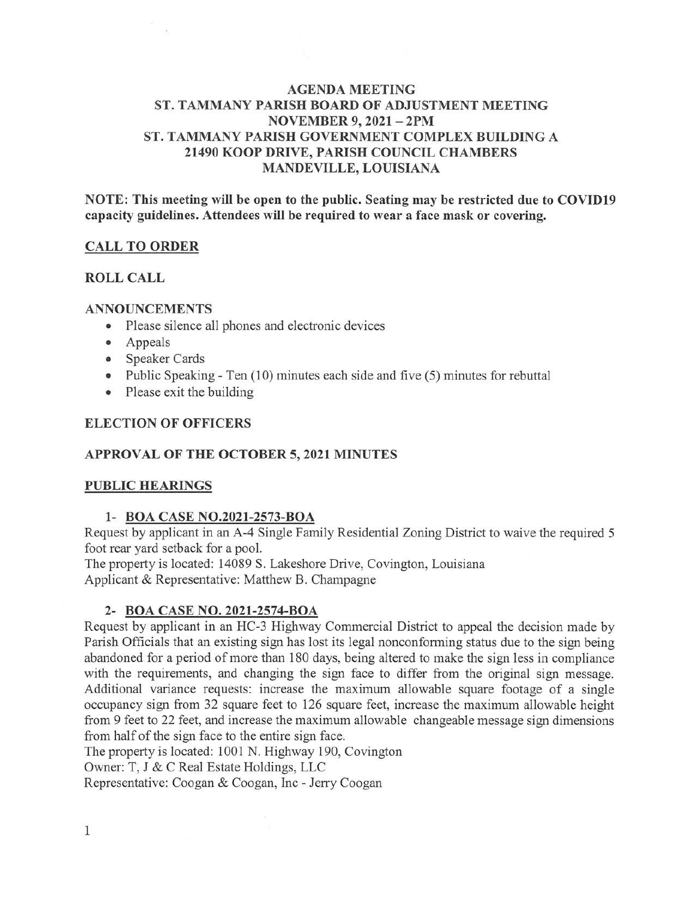### AGENDA MEETING ST. TAMMANY PARISH BOARD OF ADJUSTMENT MEETING NOVEMBER 9, <sup>2021</sup> -2PM ST. TAMMANY PARISH GOVERNMENT COMPLEX BUILDING A 21490 KOOP DRIVE, PARISH COUNCIL CHAMBERS MANDEVILLE, LOUISIANA

NOTE: This meeting wifi be open to the public. Seating may be restricted due to COVID19 capacity guidelines. Attendees will be required to wear <sup>a</sup> face mask or covering.

### CALL TO ORDER

### ROLL CALL

#### ANNOUNCEMENTS

- Please silence all phones and electronic devices
- Appeals
- Speaker Cards
- Public Speaking Ten (10) minutes each side and five (5) minutes for rebuttal
- Please exit the building

### ELECTION OF OFFICERS

#### APPROVAL OF THE OCTOBER 5, 2021 MINUTES

#### PUBLIC HEARINGS

#### 1- BOA CASE NO.2021-2573-BOA

Request by applicant in an A-4 Single Family Residential Zoning District to waive the required <sup>5</sup> foot rear yard setback for a pooi.

The property is located: 14089 S. Lakeshore Drive, Covington, Louisiana Applicant & Representative: Matthew B. Champagne

#### 2- BOA CASE NO. 2021-2574-BOA

Request by applicant in an HC-3 Highway Commercial District to appeal the decision made by Parish Officials that an existing sign has lost its legal nonconforming status due to the sign being abandoned for <sup>a</sup> period of more than 180 days, being altered to make the sign less in compliance with the requirements, and changing the sign face to differ from the original sign message. Additional variance requests: increase the maximum allowable square footage of <sup>a</sup> single occupancy sign from 32 square feet to 126 square feet, increase the maximum allowable height from 9 feet to 22 feet, and increase the maximum allowable changeable message sign dimensions from half of the sign face to the entire sign face.

The property is located: 1001 N. Highway 190, Covington

Owner: T, <sup>J</sup> & C Real Estate Holdings, LLC

Representative: Coogan & Coogan, Inc - Jerry Coogan